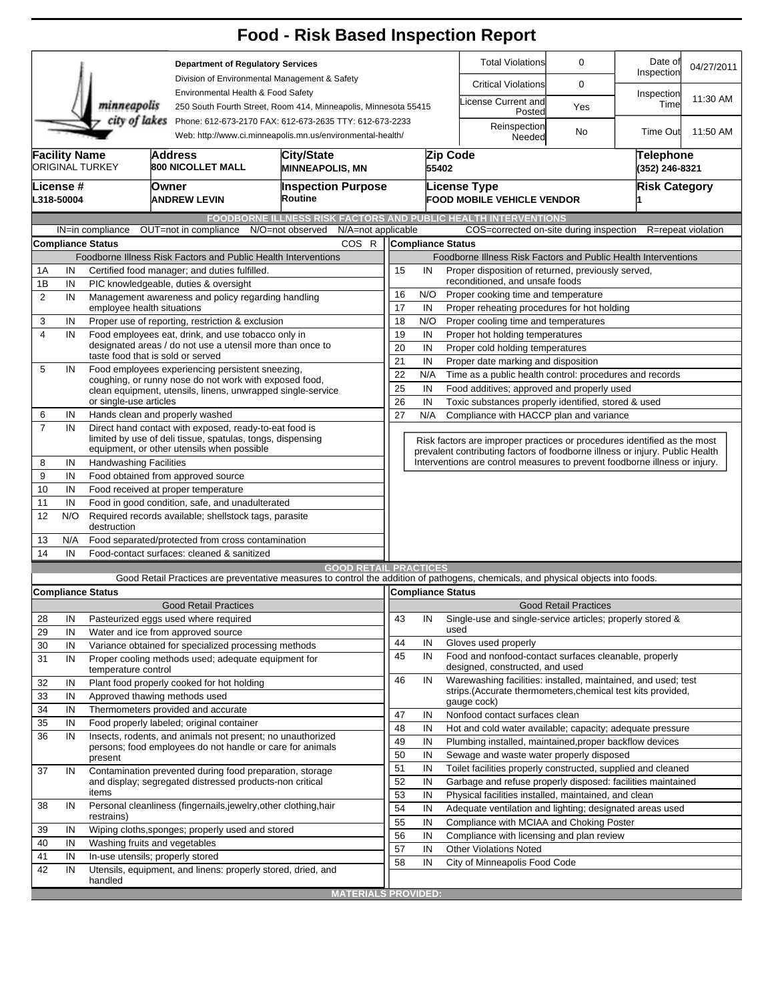|                                                                                                                                        |                      |                                                                                                |                                                                                                             | <b>Food - Risk Based Inspection Report</b>                                                                                                                        |                                                                                                                                  |          |                          |                                                                                                                                                            |                              |                                    |                    |  |
|----------------------------------------------------------------------------------------------------------------------------------------|----------------------|------------------------------------------------------------------------------------------------|-------------------------------------------------------------------------------------------------------------|-------------------------------------------------------------------------------------------------------------------------------------------------------------------|----------------------------------------------------------------------------------------------------------------------------------|----------|--------------------------|------------------------------------------------------------------------------------------------------------------------------------------------------------|------------------------------|------------------------------------|--------------------|--|
|                                                                                                                                        |                      |                                                                                                | <b>Department of Regulatory Services</b>                                                                    |                                                                                                                                                                   |                                                                                                                                  |          |                          | <b>Total Violations</b><br>0                                                                                                                               |                              | Date of<br>Inspection              | 04/27/2011         |  |
|                                                                                                                                        |                      |                                                                                                |                                                                                                             | Division of Environmental Management & Safety                                                                                                                     |                                                                                                                                  |          |                          | <b>Critical Violations</b>                                                                                                                                 | 0                            |                                    |                    |  |
|                                                                                                                                        |                      | minneapolis                                                                                    |                                                                                                             | Environmental Health & Food Safety<br>250 South Fourth Street, Room 414, Minneapolis, Minnesota 55415                                                             |                                                                                                                                  |          |                          | License Current and                                                                                                                                        | Yes                          | Inspection<br>Time                 | 11:30 AM           |  |
| city of lakes<br>Phone: 612-673-2170 FAX: 612-673-2635 TTY: 612-673-2233<br>Web: http://www.ci.minneapolis.mn.us/environmental-health/ |                      |                                                                                                |                                                                                                             |                                                                                                                                                                   |                                                                                                                                  |          |                          | Posted<br>Reinspection                                                                                                                                     |                              |                                    |                    |  |
|                                                                                                                                        |                      |                                                                                                |                                                                                                             |                                                                                                                                                                   |                                                                                                                                  |          |                          | Needed                                                                                                                                                     | No                           | <b>Time Out</b>                    | 11:50 AM           |  |
|                                                                                                                                        | <b>Facility Name</b> | <b>ORIGINAL TURKEY</b>                                                                         | <b>Address</b><br><b>800 NICOLLET MALL</b>                                                                  | <b>City/State</b><br><b>MINNEAPOLIS, MN</b>                                                                                                                       |                                                                                                                                  |          | Zip Code<br>55402        |                                                                                                                                                            |                              | <b>Telephone</b><br>(352) 246-8321 |                    |  |
| License #<br>L318-50004                                                                                                                |                      |                                                                                                | Owner<br><b>ANDREW LEVIN</b>                                                                                | <b>Inspection Purpose</b><br>Routine                                                                                                                              | <b>License Type</b>                                                                                                              |          |                          | <b>FOOD MOBILE VEHICLE VENDOR</b>                                                                                                                          |                              | <b>Risk Category</b>               |                    |  |
|                                                                                                                                        |                      |                                                                                                |                                                                                                             | FOODBORNE ILLNESS RISK FACTORS AND PUBLIC HEALTH INTERVENTIONS                                                                                                    |                                                                                                                                  |          |                          |                                                                                                                                                            |                              |                                    |                    |  |
|                                                                                                                                        |                      | IN=in compliance<br>Compliance Status                                                          | OUT=not in compliance                                                                                       | N/A=not applicable<br>N/O=not observed<br>COS R                                                                                                                   |                                                                                                                                  |          | <b>Compliance Status</b> | COS=corrected on-site during inspection                                                                                                                    |                              |                                    | R=repeat violation |  |
|                                                                                                                                        |                      |                                                                                                | Foodborne Illness Risk Factors and Public Health Interventions                                              |                                                                                                                                                                   |                                                                                                                                  |          |                          |                                                                                                                                                            |                              |                                    |                    |  |
| 1A                                                                                                                                     | IN                   |                                                                                                | Certified food manager; and duties fulfilled.                                                               |                                                                                                                                                                   | Foodborne Illness Risk Factors and Public Health Interventions<br>15<br>IN<br>Proper disposition of returned, previously served, |          |                          |                                                                                                                                                            |                              |                                    |                    |  |
| 1B                                                                                                                                     | IN                   |                                                                                                | PIC knowledgeable, duties & oversight                                                                       |                                                                                                                                                                   | reconditioned, and unsafe foods                                                                                                  |          |                          |                                                                                                                                                            |                              |                                    |                    |  |
| $\overline{2}$                                                                                                                         | IN                   |                                                                                                | Management awareness and policy regarding handling                                                          |                                                                                                                                                                   | 16<br>N/O<br>Proper cooking time and temperature                                                                                 |          |                          |                                                                                                                                                            |                              |                                    |                    |  |
|                                                                                                                                        |                      | employee health situations                                                                     |                                                                                                             |                                                                                                                                                                   | 17<br>IN<br>Proper reheating procedures for hot holding                                                                          |          |                          |                                                                                                                                                            |                              |                                    |                    |  |
| 3                                                                                                                                      | IN                   |                                                                                                | Proper use of reporting, restriction & exclusion                                                            |                                                                                                                                                                   | 18                                                                                                                               | N/O      |                          | Proper cooling time and temperatures                                                                                                                       |                              |                                    |                    |  |
| $\overline{\mathbf{4}}$                                                                                                                | IN                   | Food employees eat, drink, and use tobacco only in                                             | 19<br>IN<br>Proper hot holding temperatures                                                                 |                                                                                                                                                                   |                                                                                                                                  |          |                          |                                                                                                                                                            |                              |                                    |                    |  |
|                                                                                                                                        |                      | designated areas / do not use a utensil more than once to<br>taste food that is sold or served | 20<br>IN<br>Proper cold holding temperatures                                                                |                                                                                                                                                                   |                                                                                                                                  |          |                          |                                                                                                                                                            |                              |                                    |                    |  |
| 5                                                                                                                                      | IN                   | Food employees experiencing persistent sneezing,                                               | 21<br>IN<br>Proper date marking and disposition<br>Time as a public health control: procedures and records  |                                                                                                                                                                   |                                                                                                                                  |          |                          |                                                                                                                                                            |                              |                                    |                    |  |
|                                                                                                                                        |                      |                                                                                                | coughing, or runny nose do not work with exposed food,                                                      |                                                                                                                                                                   | 22<br>25                                                                                                                         | N/A      |                          |                                                                                                                                                            |                              |                                    |                    |  |
|                                                                                                                                        |                      | or single-use articles                                                                         | clean equipment, utensils, linens, unwrapped single-service                                                 |                                                                                                                                                                   | 26                                                                                                                               | IN<br>IN |                          | Food additives; approved and properly used<br>Toxic substances properly identified, stored & used                                                          |                              |                                    |                    |  |
| 6                                                                                                                                      | IN                   |                                                                                                | Hands clean and properly washed                                                                             |                                                                                                                                                                   | 27                                                                                                                               | N/A      |                          | Compliance with HACCP plan and variance                                                                                                                    |                              |                                    |                    |  |
| $\overline{7}$                                                                                                                         | IN                   |                                                                                                | Direct hand contact with exposed, ready-to-eat food is                                                      |                                                                                                                                                                   |                                                                                                                                  |          |                          |                                                                                                                                                            |                              |                                    |                    |  |
|                                                                                                                                        |                      |                                                                                                | limited by use of deli tissue, spatulas, tongs, dispensing                                                  |                                                                                                                                                                   |                                                                                                                                  |          |                          | Risk factors are improper practices or procedures identified as the most                                                                                   |                              |                                    |                    |  |
| 8                                                                                                                                      | IN                   | <b>Handwashing Facilities</b>                                                                  | equipment, or other utensils when possible                                                                  |                                                                                                                                                                   |                                                                                                                                  |          |                          | prevalent contributing factors of foodborne illness or injury. Public Health<br>Interventions are control measures to prevent foodborne illness or injury. |                              |                                    |                    |  |
| 9                                                                                                                                      | IN                   |                                                                                                | Food obtained from approved source                                                                          |                                                                                                                                                                   |                                                                                                                                  |          |                          |                                                                                                                                                            |                              |                                    |                    |  |
| 10                                                                                                                                     | IN                   |                                                                                                |                                                                                                             |                                                                                                                                                                   |                                                                                                                                  |          |                          |                                                                                                                                                            |                              |                                    |                    |  |
| 11                                                                                                                                     | IN                   | Food received at proper temperature<br>Food in good condition, safe, and unadulterated         |                                                                                                             |                                                                                                                                                                   |                                                                                                                                  |          |                          |                                                                                                                                                            |                              |                                    |                    |  |
| 12                                                                                                                                     | N/O                  | Required records available; shellstock tags, parasite<br>destruction                           |                                                                                                             |                                                                                                                                                                   |                                                                                                                                  |          |                          |                                                                                                                                                            |                              |                                    |                    |  |
| 13                                                                                                                                     | N/A                  |                                                                                                | Food separated/protected from cross contamination                                                           |                                                                                                                                                                   |                                                                                                                                  |          |                          |                                                                                                                                                            |                              |                                    |                    |  |
| 14                                                                                                                                     | IN                   |                                                                                                | Food-contact surfaces: cleaned & sanitized                                                                  |                                                                                                                                                                   |                                                                                                                                  |          |                          |                                                                                                                                                            |                              |                                    |                    |  |
|                                                                                                                                        |                      |                                                                                                |                                                                                                             | <b>GOOD RETAIL PRACTICES</b><br>Good Retail Practices are preventative measures to control the addition of pathogens, chemicals, and physical objects into foods. |                                                                                                                                  |          |                          |                                                                                                                                                            |                              |                                    |                    |  |
|                                                                                                                                        |                      | <b>Compliance Status</b>                                                                       |                                                                                                             |                                                                                                                                                                   |                                                                                                                                  |          | Compliance Status        |                                                                                                                                                            |                              |                                    |                    |  |
|                                                                                                                                        |                      |                                                                                                | <b>Good Retail Practices</b>                                                                                |                                                                                                                                                                   |                                                                                                                                  |          |                          |                                                                                                                                                            | <b>Good Retail Practices</b> |                                    |                    |  |
| 28                                                                                                                                     | IN                   |                                                                                                | Pasteurized eggs used where required                                                                        |                                                                                                                                                                   | 43                                                                                                                               | IN       |                          | Single-use and single-service articles; properly stored &                                                                                                  |                              |                                    |                    |  |
| 29                                                                                                                                     | IN                   |                                                                                                | Water and ice from approved source                                                                          |                                                                                                                                                                   | 44                                                                                                                               | IN       | used                     | Gloves used properly                                                                                                                                       |                              |                                    |                    |  |
| 30<br>31                                                                                                                               | IN<br>IN             |                                                                                                | Variance obtained for specialized processing methods<br>Proper cooling methods used; adequate equipment for |                                                                                                                                                                   | 45                                                                                                                               | IN       |                          | Food and nonfood-contact surfaces cleanable, properly                                                                                                      |                              |                                    |                    |  |
|                                                                                                                                        |                      | temperature control                                                                            |                                                                                                             |                                                                                                                                                                   |                                                                                                                                  |          |                          | designed, constructed, and used                                                                                                                            |                              |                                    |                    |  |
| 32                                                                                                                                     | IN                   |                                                                                                | Plant food properly cooked for hot holding                                                                  |                                                                                                                                                                   | 46                                                                                                                               | IN       |                          | Warewashing facilities: installed, maintained, and used; test<br>strips. (Accurate thermometers, chemical test kits provided,                              |                              |                                    |                    |  |
| 33                                                                                                                                     | IN                   |                                                                                                | Approved thawing methods used                                                                               |                                                                                                                                                                   |                                                                                                                                  |          |                          | gauge cock)                                                                                                                                                |                              |                                    |                    |  |
| 34                                                                                                                                     | IN                   |                                                                                                | Thermometers provided and accurate                                                                          |                                                                                                                                                                   | 47                                                                                                                               | IN       |                          | Nonfood contact surfaces clean                                                                                                                             |                              |                                    |                    |  |
| 35<br>36                                                                                                                               | IN<br>IN             |                                                                                                | Food properly labeled; original container<br>Insects, rodents, and animals not present; no unauthorized     |                                                                                                                                                                   | 48                                                                                                                               | IN       |                          | Hot and cold water available; capacity; adequate pressure                                                                                                  |                              |                                    |                    |  |
|                                                                                                                                        |                      |                                                                                                | persons; food employees do not handle or care for animals                                                   |                                                                                                                                                                   | 49                                                                                                                               | IN       |                          | Plumbing installed, maintained, proper backflow devices                                                                                                    |                              |                                    |                    |  |
|                                                                                                                                        |                      | present                                                                                        |                                                                                                             |                                                                                                                                                                   | 50                                                                                                                               | IN       |                          | Sewage and waste water properly disposed                                                                                                                   |                              |                                    |                    |  |
| 37                                                                                                                                     | IN                   |                                                                                                | Contamination prevented during food preparation, storage                                                    |                                                                                                                                                                   | 51<br>52                                                                                                                         | IN       |                          | Toilet facilities properly constructed, supplied and cleaned                                                                                               |                              |                                    |                    |  |
|                                                                                                                                        |                      | and display; segregated distressed products-non critical<br>items                              |                                                                                                             |                                                                                                                                                                   |                                                                                                                                  | IN<br>IN |                          | Garbage and refuse properly disposed: facilities maintained<br>Physical facilities installed, maintained, and clean                                        |                              |                                    |                    |  |
| 38                                                                                                                                     | IN                   |                                                                                                | Personal cleanliness (fingernails, jewelry, other clothing, hair                                            |                                                                                                                                                                   | 53<br>54                                                                                                                         | IN       |                          | Adequate ventilation and lighting; designated areas used                                                                                                   |                              |                                    |                    |  |
|                                                                                                                                        |                      | restrains)                                                                                     |                                                                                                             |                                                                                                                                                                   | 55                                                                                                                               | IN       |                          | Compliance with MCIAA and Choking Poster                                                                                                                   |                              |                                    |                    |  |
| 39                                                                                                                                     | IN                   |                                                                                                | Wiping cloths, sponges; properly used and stored                                                            |                                                                                                                                                                   | 56                                                                                                                               | IN       |                          | Compliance with licensing and plan review                                                                                                                  |                              |                                    |                    |  |
| 40                                                                                                                                     | IN                   |                                                                                                | Washing fruits and vegetables                                                                               |                                                                                                                                                                   | 57                                                                                                                               | IN       |                          | <b>Other Violations Noted</b>                                                                                                                              |                              |                                    |                    |  |
| 41                                                                                                                                     | IN                   |                                                                                                | In-use utensils; properly stored                                                                            |                                                                                                                                                                   | 58                                                                                                                               | IN       |                          | City of Minneapolis Food Code                                                                                                                              |                              |                                    |                    |  |
| 42                                                                                                                                     | IN                   | handled                                                                                        | Utensils, equipment, and linens: properly stored, dried, and                                                |                                                                                                                                                                   |                                                                                                                                  |          |                          |                                                                                                                                                            |                              |                                    |                    |  |
|                                                                                                                                        |                      |                                                                                                |                                                                                                             | <b>MATERIALS PROVIDED:</b>                                                                                                                                        |                                                                                                                                  |          |                          |                                                                                                                                                            |                              |                                    |                    |  |
|                                                                                                                                        |                      |                                                                                                |                                                                                                             |                                                                                                                                                                   |                                                                                                                                  |          |                          |                                                                                                                                                            |                              |                                    |                    |  |